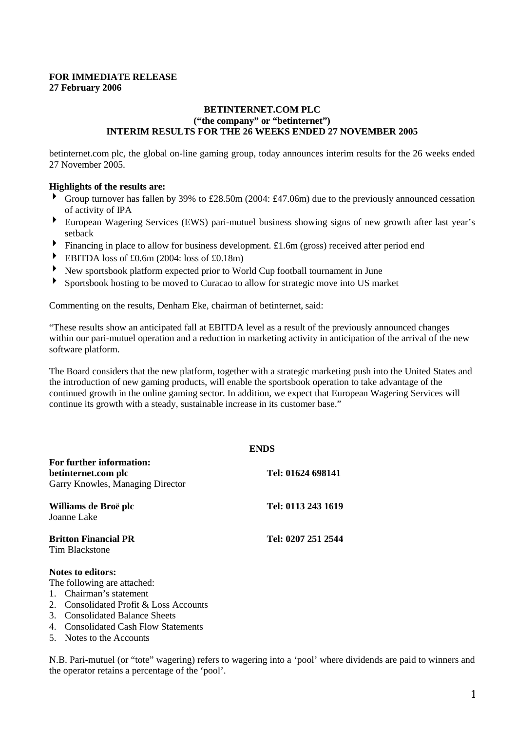## **FOR IMMEDIATE RELEASE 27 February 2006**

## **BETINTERNET.COM PLC ("the company" or "betinternet") INTERIM RESULTS FOR THE 26 WEEKS ENDED 27 NOVEMBER 2005**

betinternet.com plc, the global on-line gaming group, today announces interim results for the 26 weeks ended 27 November 2005.

## **Highlights of the results are:**

- Group turnover has fallen by 39% to £28.50m (2004: £47.06m) due to the previously announced cessation of activity of IPA
- European Wagering Services (EWS) pari-mutuel business showing signs of new growth after last year's setback
- Financing in place to allow for business development. £1.6m (gross) received after period end
- EBITDA loss of £0.6m (2004: loss of £0.18m)
- New sportsbook platform expected prior to World Cup football tournament in June
- Sportsbook hosting to be moved to Curacao to allow for strategic move into US market

Commenting on the results, Denham Eke, chairman of betinternet, said:

"These results show an anticipated fall at EBITDA level as a result of the previously announced changes within our pari-mutuel operation and a reduction in marketing activity in anticipation of the arrival of the new software platform.

The Board considers that the new platform, together with a strategic marketing push into the United States and the introduction of new gaming products, will enable the sportsbook operation to take advantage of the continued growth in the online gaming sector. In addition, we expect that European Wagering Services will continue its growth with a steady, sustainable increase in its customer base."

| <b>ENDS</b>        |
|--------------------|
| Tel: 01624 698141  |
| Tel: 0113 243 1619 |
| Tel: 0207 251 2544 |
|                    |

## **Notes to editors:**

The following are attached:

- 1. Chairman's statement
- 2. Consolidated Profit & Loss Accounts
- 3. Consolidated Balance Sheets
- 4. Consolidated Cash Flow Statements
- 5. Notes to the Accounts

N.B. Pari-mutuel (or "tote" wagering) refers to wagering into a 'pool' where dividends are paid to winners and the operator retains a percentage of the 'pool'.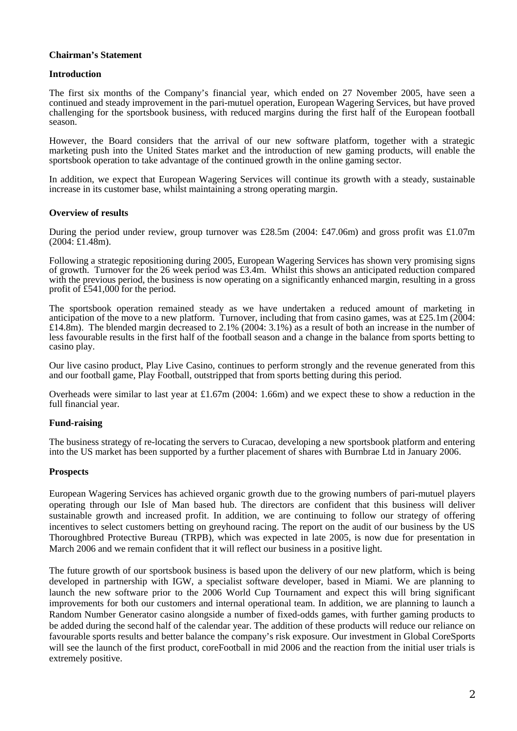## **Chairman's Statement**

## **Introduction**

The first six months of the Company's financial year, which ended on 27 November 2005, have seen a continued and steady improvement in the pari-mutuel operation, European Wagering Services, but have proved challenging for the sportsbook business, with reduced margins during the first half of the European football season.

However, the Board considers that the arrival of our new software platform, together with a strategic marketing push into the United States market and the introduction of new gaming products, will enable the sportsbook operation to take advantage of the continued growth in the online gaming sector.

In addition, we expect that European Wagering Services will continue its growth with a steady, sustainable increase in its customer base, whilst maintaining a strong operating margin.

### **Overview of results**

During the period under review, group turnover was £28.5m (2004: £47.06m) and gross profit was £1.07m  $(2004; \text{\pounds}1.48m)$ .

Following a strategic repositioning during 2005, European Wagering Services has shown very promising signs of growth. Turnover for the 26 week period was £3.4m. Whilst this shows an anticipated reduction compared with the previous period, the business is now operating on a significantly enhanced margin, resulting in a gross profit of £541,000 for the period.

The sportsbook operation remained steady as we have undertaken a reduced amount of marketing in anticipation of the move to a new platform. Turnover, including that from casino games, was at £25.1m (2004: £14.8m). The blended margin decreased to 2.1% (2004: 3.1%) as a result of both an increase in the number of less favourable results in the first half of the football season and a change in the balance from sports betting to casino play.

Our live casino product, Play Live Casino, continues to perform strongly and the revenue generated from this and our football game, Play Football, outstripped that from sports betting during this period.

Overheads were similar to last year at £1.67m (2004: 1.66m) and we expect these to show a reduction in the full financial year.

## **Fund-raising**

The business strategy of re-locating the servers to Curacao, developing a new sportsbook platform and entering into the US market has been supported by a further placement of shares with Burnbrae Ltd in January 2006.

## **Prospects**

European Wagering Services has achieved organic growth due to the growing numbers of pari-mutuel players operating through our Isle of Man based hub. The directors are confident that this business will deliver sustainable growth and increased profit. In addition, we are continuing to follow our strategy of offering incentives to select customers betting on greyhound racing. The report on the audit of our business by the US Thoroughbred Protective Bureau (TRPB), which was expected in late 2005, is now due for presentation in March 2006 and we remain confident that it will reflect our business in a positive light.

The future growth of our sportsbook business is based upon the delivery of our new platform, which is being developed in partnership with IGW, a specialist software developer, based in Miami. We are planning to launch the new software prior to the 2006 World Cup Tournament and expect this will bring significant improvements for both our customers and internal operational team. In addition, we are planning to launch a Random Number Generator casino alongside a number of fixed-odds games, with further gaming products to be added during the second half of the calendar year. The addition of these products will reduce our reliance on favourable sports results and better balance the company's risk exposure. Our investment in Global CoreSports will see the launch of the first product, coreFootball in mid 2006 and the reaction from the initial user trials is extremely positive.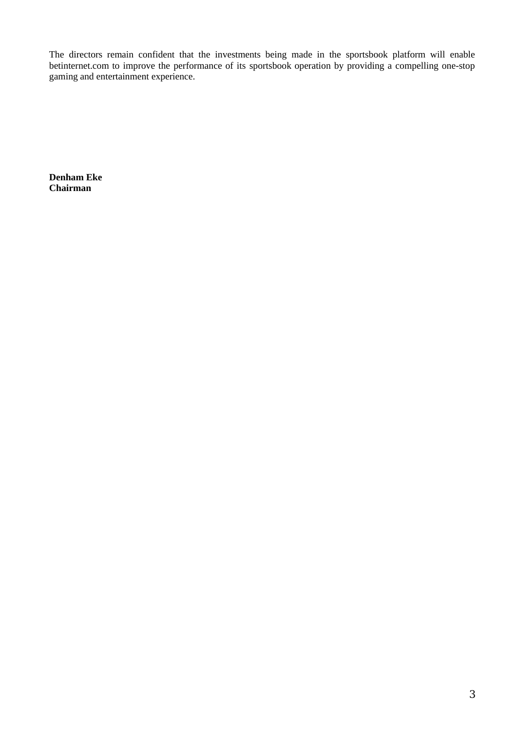The directors remain confident that the investments being made in the sportsbook platform will enable betinternet.com to improve the performance of its sportsbook operation by providing a compelling one-stop gaming and entertainment experience.

**Denham Eke Chairman**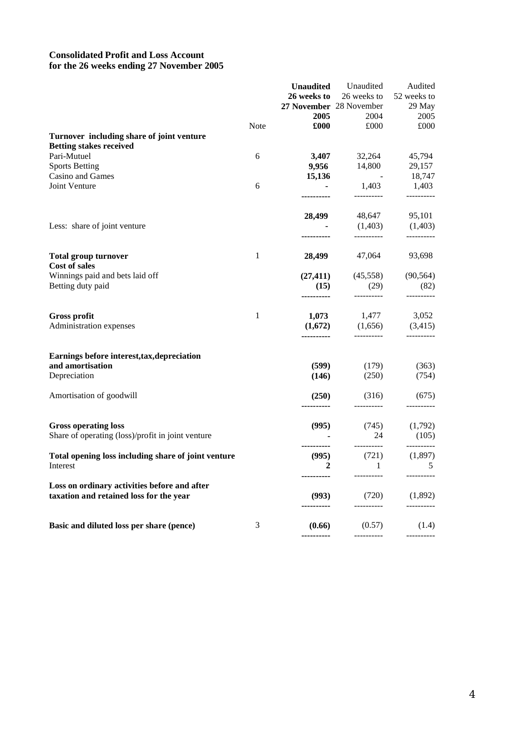# **Consolidated Profit and Loss Account for the 26 weeks ending 27 November 2005**

|                                                     |              | <b>Unaudited</b>      | Unaudited               | Audited             |
|-----------------------------------------------------|--------------|-----------------------|-------------------------|---------------------|
|                                                     |              | 26 weeks to           | 26 weeks to             | 52 weeks to         |
|                                                     |              |                       | 27 November 28 November | 29 May              |
|                                                     |              | 2005                  | 2004                    | 2005                |
|                                                     | <b>Note</b>  | £000                  | £000                    | £000                |
| Turnover including share of joint venture           |              |                       |                         |                     |
| <b>Betting stakes received</b>                      |              |                       |                         |                     |
| Pari-Mutuel                                         | 6            | 3,407                 | 32,264                  | 45,794              |
| <b>Sports Betting</b>                               |              | 9,956                 | 14,800                  | 29,157              |
| Casino and Games                                    |              | 15,136                | <b>Contract Advised</b> | 18,747              |
| Joint Venture                                       | 6            |                       | 1,403                   | 1,403               |
|                                                     |              |                       | ----------              | ----------          |
|                                                     |              |                       |                         |                     |
|                                                     |              | 28,499                |                         | 48,647 95,101       |
| Less: share of joint venture                        |              |                       |                         | $(1,403)$ $(1,403)$ |
|                                                     |              |                       | ----------              | ----------          |
| <b>Total group turnover</b>                         | 1            | 28,499                | 47,064                  | 93,698              |
| <b>Cost of sales</b>                                |              |                       |                         |                     |
| Winnings paid and bets laid off                     |              |                       | $(27,411)$ $(45,558)$   | (90, 564)           |
| Betting duty paid                                   |              | (15)                  | (29)<br>-----------     | (82)<br>----------  |
|                                                     | $\mathbf{1}$ |                       | 1,477                   |                     |
| <b>Gross profit</b>                                 |              | 1,073                 |                         | 3,052               |
| Administration expenses                             |              | (1,672)<br>---------- | (1,656)                 | (3,415)             |
| Earnings before interest, tax, depreciation         |              |                       |                         |                     |
| and amortisation                                    |              | (599)                 | (179)                   | (363)               |
| Depreciation                                        |              | (146)                 | (250)                   | (754)               |
|                                                     |              |                       |                         |                     |
| Amortisation of goodwill                            |              | (250)                 | (316)                   | (675)               |
|                                                     |              |                       |                         |                     |
| <b>Gross operating loss</b>                         |              | (995)                 | (745)                   | (1,792)             |
| Share of operating (loss)/profit in joint venture   |              |                       | 24                      | (105)               |
|                                                     |              |                       | __________              | ----------          |
| Total opening loss including share of joint venture |              | (995)                 | (721)                   | (1,897)             |
| Interest                                            |              | $\overline{2}$        | $\mathbf{1}$            | 5                   |
|                                                     |              |                       |                         |                     |
| Loss on ordinary activities before and after        |              |                       |                         |                     |
| taxation and retained loss for the year             |              | (993)                 | (720)                   | (1,892)             |
|                                                     |              |                       |                         |                     |
|                                                     |              |                       |                         |                     |
| Basic and diluted loss per share (pence)            | 3            | (0.66)                | (0.57)                  | (1.4)               |
|                                                     |              | ----------            |                         | ----------          |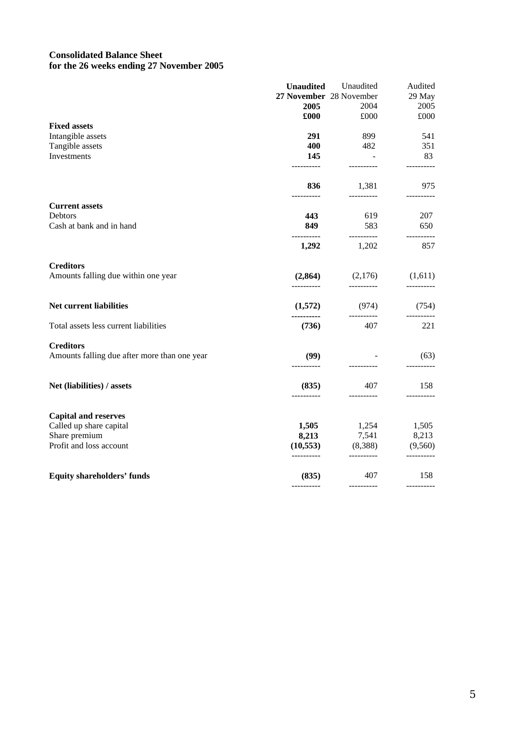# **Consolidated Balance Sheet for the 26 weeks ending 27 November 2005**

|                                                                  | <b>Unaudited</b>        | Unaudited                         | Audited           |
|------------------------------------------------------------------|-------------------------|-----------------------------------|-------------------|
|                                                                  | 27 November 28 November |                                   | 29 May            |
|                                                                  | 2005                    | 2004                              | 2005              |
|                                                                  | £000                    | £000                              | £000              |
| <b>Fixed assets</b>                                              |                         |                                   |                   |
| Intangible assets                                                | 291                     | 899                               | 541               |
| Tangible assets                                                  | 400                     | 482                               | 351               |
| Investments                                                      | 145<br>----------       | $\sim 10$                         | 83<br>----------  |
|                                                                  | 836                     | 1,381                             | 975               |
| <b>Current assets</b>                                            |                         |                                   |                   |
| Debtors                                                          | 443                     | 619                               | 207               |
| Cash at bank and in hand                                         | 849<br>----------       | 583<br>----------                 | 650               |
|                                                                  | 1,292                   | 1,202                             | ----------<br>857 |
| <b>Creditors</b>                                                 |                         |                                   |                   |
| Amounts falling due within one year                              | (2,864)<br>----------   | $(2,176)$ $(1,611)$<br>---------- | ----------        |
| Net current liabilities                                          | (1,572)                 | (974)                             | (754)             |
| Total assets less current liabilities                            | ----------<br>(736)     | 407                               | 221               |
| <b>Creditors</b><br>Amounts falling due after more than one year | (99)                    |                                   | (63)              |
|                                                                  | ----------              |                                   |                   |
| Net (liabilities) / assets                                       | (835)<br>----------     | 407<br>----------                 | 158<br>---------- |
| <b>Capital and reserves</b>                                      |                         |                                   |                   |
| Called up share capital                                          | 1,505                   |                                   | 1,505             |
| Share premium                                                    | 8,213                   | 1,254<br>7,541                    | 8,213             |
| Profit and loss account                                          | (10,553)<br>----------  | (8,388)<br>----------             | (9,560)           |
|                                                                  |                         | 407                               | 158               |
| <b>Equity shareholders' funds</b>                                | (835)                   | ----------                        |                   |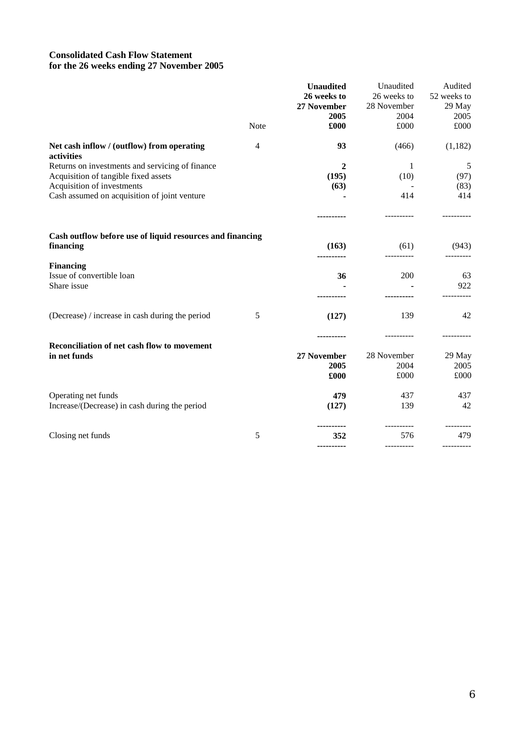# **Consolidated Cash Flow Statement for the 26 weeks ending 27 November 2005**

|                                                                        |                | <b>Unaudited</b> | Unaudited   | Audited     |
|------------------------------------------------------------------------|----------------|------------------|-------------|-------------|
|                                                                        |                | 26 weeks to      | 26 weeks to | 52 weeks to |
|                                                                        |                | 27 November      | 28 November | 29 May      |
|                                                                        |                | 2005             | 2004        | 2005        |
|                                                                        | Note           | £000             | £000        | £000        |
| Net cash inflow / (outflow) from operating<br>activities               | $\overline{4}$ | 93               | (466)       | (1,182)     |
| Returns on investments and servicing of finance                        |                | $\mathbf{2}$     | 1           | 5           |
| Acquisition of tangible fixed assets                                   |                | (195)            | (10)        | (97)        |
| Acquisition of investments                                             |                | (63)             |             | (83)        |
| Cash assumed on acquisition of joint venture                           |                |                  | 414         | 414         |
|                                                                        |                |                  |             |             |
| Cash outflow before use of liquid resources and financing<br>financing |                | (163)            | (61)        | (943)       |
|                                                                        |                |                  | ----------- |             |
| <b>Financing</b><br>Issue of convertible loan                          |                | 36               | 200         | 63          |
| Share issue                                                            |                |                  |             | 922         |
|                                                                        |                |                  |             |             |
| (Decrease) / increase in cash during the period                        | 5              | (127)            | 139         | 42          |
|                                                                        |                |                  |             |             |
| Reconciliation of net cash flow to movement                            |                |                  |             |             |
| in net funds                                                           |                | 27 November      | 28 November | 29 May      |
|                                                                        |                | 2005             | 2004        | 2005        |
|                                                                        |                | £000             | £000        | £000        |
| Operating net funds                                                    |                | 479              | 437         | 437         |
| Increase/(Decrease) in cash during the period                          |                | (127)            | 139         | 42          |
|                                                                        |                |                  |             |             |
| Closing net funds                                                      | 5              | 352              | 576         | 479         |
|                                                                        |                | ----------       |             |             |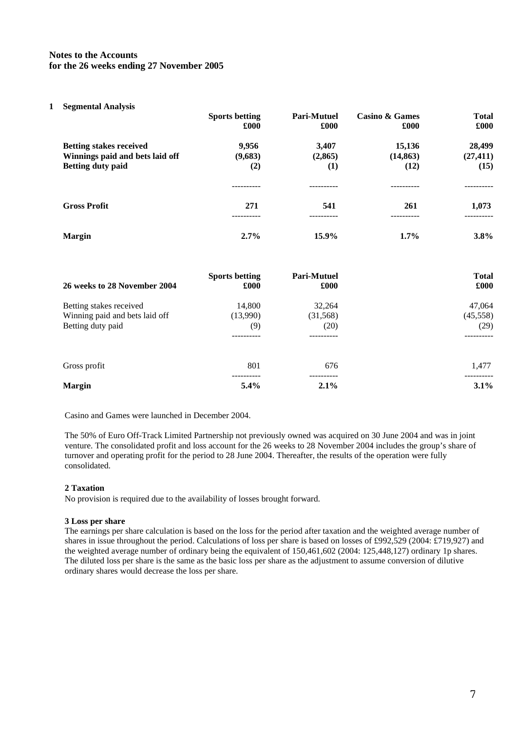## **Notes to the Accounts for the 26 weeks ending 27 November 2005**

### **1 Segmental Analysis**

|                                 | <b>Sports betting</b><br>£000 | Pari-Mutuel<br>£000 | <b>Casino &amp; Games</b><br>£000 | <b>Total</b><br>£000 |
|---------------------------------|-------------------------------|---------------------|-----------------------------------|----------------------|
| <b>Betting stakes received</b>  | 9,956                         | 3,407               | 15,136                            | 28,499               |
| Winnings paid and bets laid off | (9,683)                       | (2,865)             | (14, 863)                         | (27, 411)            |
| <b>Betting duty paid</b>        | (2)                           | $\left(1\right)$    | (12)                              | (15)                 |
|                                 |                               |                     |                                   |                      |
| <b>Gross Profit</b>             | 271                           | 541                 | 261                               | 1,073                |
| <b>Margin</b>                   | 2.7%                          | 15.9%               | $1.7\%$                           | 3.8%                 |

| 26 weeks to 28 November 2004   | <b>Sports betting</b><br>£000 | <b>Pari-Mutuel</b><br>£000 | <b>Total</b><br>£000 |
|--------------------------------|-------------------------------|----------------------------|----------------------|
| Betting stakes received        | 14,800                        | 32,264                     | 47,064               |
| Winning paid and bets laid off | (13,990)                      | (31, 568)                  | (45, 558)            |
| Betting duty paid              | (9)                           | (20)                       | (29)                 |
|                                |                               |                            |                      |
| Gross profit                   | 801                           | 676                        | 1.477                |
| <b>Margin</b>                  | 5.4%                          | $2.1\%$                    | $3.1\%$              |

Casino and Games were launched in December 2004.

The 50% of Euro Off-Track Limited Partnership not previously owned was acquired on 30 June 2004 and was in joint venture. The consolidated profit and loss account for the 26 weeks to 28 November 2004 includes the group's share of turnover and operating profit for the period to 28 June 2004. Thereafter, the results of the operation were fully consolidated.

### **2 Taxation**

No provision is required due to the availability of losses brought forward.

### **3 Loss per share**

The earnings per share calculation is based on the loss for the period after taxation and the weighted average number of shares in issue throughout the period. Calculations of loss per share is based on losses of £992,529 (2004: £719,927) and the weighted average number of ordinary being the equivalent of 150,461,602 (2004: 125,448,127) ordinary 1p shares. The diluted loss per share is the same as the basic loss per share as the adjustment to assume conversion of dilutive ordinary shares would decrease the loss per share.